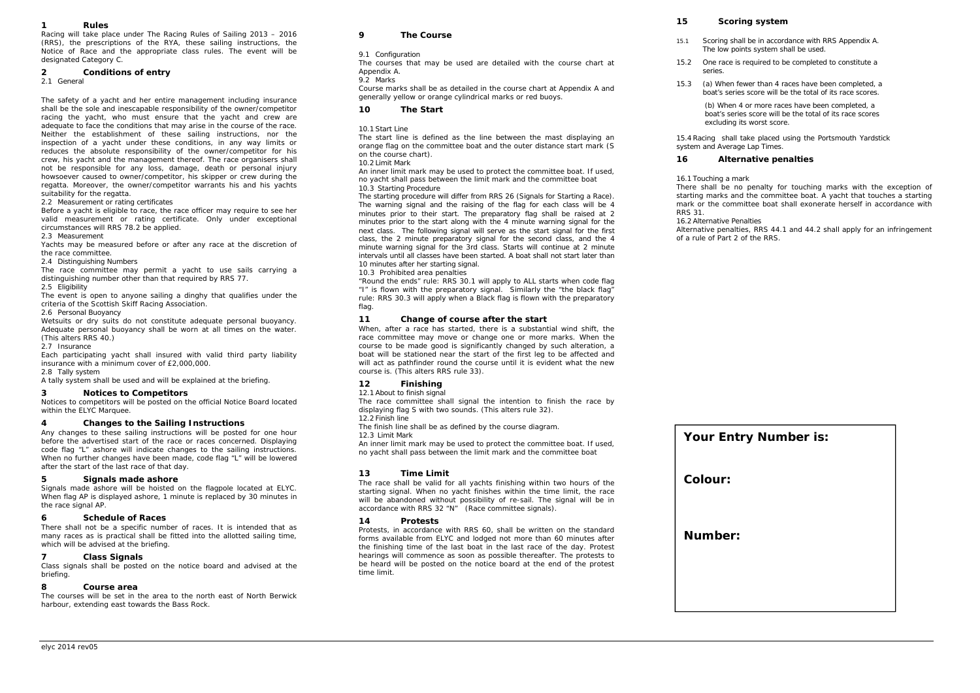#### *1Rules*

Racing will take place under The Racing Rules of Sailing 2013 – 2016 (RRS), the prescriptions of the RYA, these sailing instructions, the Notice of Race and the appropriate class rules. The event will be designated Category C.

### *2Conditions of entry*

2.1 General

The safety of a yacht and her entire management including insurance shall be the sole and inescapable responsibility of the owner/competitor racing the yacht, who must ensure that the yacht and crew are adequate to face the conditions that may arise in the course of the race. Neither the establishment of these sailing instructions, nor the inspection of a yacht under these conditions, in any way limits or reduces the absolute responsibility of the owner/competitor for his crew, his yacht and the management thereof. The race organisers shall not be responsible for any loss, damage, death or personal injury howsoever caused to owner/competitor, his skipper or crew during the regatta. Moreover, the owner/competitor warrants his and his yachts suitability for the regatta.

2.2 Measurement or rating certificates

Before a yacht is eligible to race, the race officer may require to see her valid measurement or rating certificate. Only under exceptional circumstances will RRS 78.2 be applied.

2.3 Measurement

Yachts may be measured before or after any race at the discretion of the race committee.

2.4 Distinguishing Numbers

The race committee may permit a yacht to use sails carrying a distinguishing number other than that required by RRS 77.

2.5 Eligibility

The event is open to anyone sailing a dinghy that qualifies under the criteria of the Scottish Skiff Racing Association.

# 2.6 Personal Buoyancy

Wetsuits or dry suits do not constitute adequate personal buoyancy. Adequate personal buoyancy shall be worn at all times on the water. (This alters RRS 40.)

2.7 Insurance

Each participating yacht shall insured with valid third party liability insurance with a minimum cover of £2,000,000.

### 2.8 Tally system

A tally system shall be used and will be explained at the briefing.

### *3Notices to Competitors*

Notices to competitors will be posted on the official Notice Board located within the ELYC Marquee.

### *4Changes to the Sailing Instructions*

Any changes to these sailing instructions will be posted for one hour before the advertised start of the race or races concerned. Displaying code flag "L" ashore will indicate changes to the sailing instructions. When no further changes have been made, code flag "L" will be lowered after the start of the last race of that day.

#### *5Signals made ashore*

Signals made ashore will be hoisted on the flagpole located at ELYC. When flag AP is displayed ashore, 1 minute is replaced by 30 minutes in the race signal AP.

### *6Schedule of Races*

There shall not be a specific number of races. It is intended that as many races as is practical shall be fitted into the allotted sailing time, which will be advised at the briefing.

### *7Class Signals*

Class signals shall be posted on the notice board and advised at the briefing.

### *8Course area*

The courses will be set in the area to the north east of North Berwick harbour, extending east towards the Bass Rock.

### *9The Course*

# 9.1 Configuration

The courses that may be used are detailed with the course chart at Appendix A.

# 9.2 Marks

Course marks shall be as detailed in the course chart at Appendix A and generally yellow or orange cylindrical marks or red buoys.

### *10The Start*

# 10.1 Start Line

The start line is defined as the line between the mast displaying an orange flag on the committee boat and the outer distance start mark (S on the course chart).

# 10.2 Limit Mark

An inner limit mark may be used to protect the committee boat. If used, no yacht shall pass between the limit mark and the committee boat 10.3 Starting Procedure

The starting procedure will differ from RRS 26 (Signals for Starting a Race). The warning signal and the raising of the flag for each class will be 4 minutes prior to their start. The preparatory flag shall be raised at 2 minutes prior to the start along with the 4 minute warning signal for the next class. The following signal will serve as the start signal for the first class, the 2 minute preparatory signal for the second class, and the 4 minute warning signal for the 3rd class. Starts will continue at 2 minute intervals until all classes have been started. A boat shall not start later than 10 minutes after her starting signal.

# 10.3 Prohibited area penalties

"Round the ends" rule: RRS 30.1 will apply to ALL starts when code flag "I" is flown with the preparatory signal. Similarly the "the black flag" rule: RRS 30.3 will apply when a Black flag is flown with the preparatory flag.

### *11Change of course after the start*

When, after a race has started, there is a substantial wind shift, the race committee may move or change one or more marks. When the course to be made good is significantly changed by such alteration, a boat will be stationed near the start of the first leg to be affected and will act as pathfinder round the course until it is evident what the new course is. (This alters RRS rule 33).

### *12Finishing*

12.1 About to finish signal

The race committee shall signal the intention to finish the race by displaying flag S with two sounds. (This alters rule 32).

### 12.2 Finish line

The finish line shall be as defined by the course diagram.

12.3 Limit Mark

 An inner limit mark may be used to protect the committee boat. If used, no yacht shall pass between the limit mark and the committee boat

### *13Time Limit*

The race shall be valid for all yachts finishing within two hours of the starting signal. When no yacht finishes within the time limit, the race will be abandoned without possibility of re-sail. The signal will be in accordance with RRS 32 "N" (Race committee signals).

### *14Protests*

Protests, in accordance with RRS 60, shall be written on the standard forms available from ELYC and lodged not more than 60 minutes after the finishing time of the last boat in the last race of the day. Protest hearings will commence as soon as possible thereafter. The protests to be heard will be posted on the notice board at the end of the protest time limit.

### *15Scoring system*

- 15.1 Scoring shall be in accordance with RRS Appendix A. The low points system shall be used.
- 15.2 One race is required to be completed to constitute a series.
- 15.3 (a) When fewer than 4 races have been completed, a boat's series score will be the total of its race scores.

(b) When 4 or more races have been completed, a boat's series score will be the total of its race scores excluding its worst score.

15.4 Racing shall take placed using the Portsmouth Yardstick system and Average Lap Times.

#### *16Alternative penalties*

### 16.1 Touching a mark

There shall be no penalty for touching marks with the exception of starting marks and the committee boat. A yacht that touches a starting mark or the committee boat shall exonerate herself in accordance with RRS 31.

### 16.2 Alternative Penalties

Alternative penalties, RRS 44.1 and 44.2 shall apply for an infringement of a rule of Part 2 of the RRS.